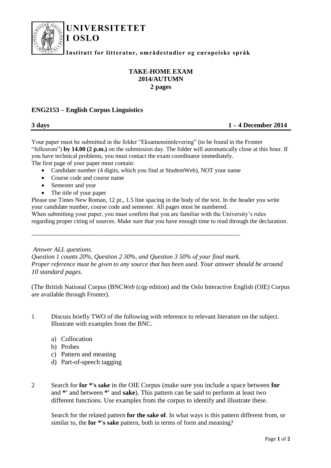

## **UNIVERSITETET**

**Institutt for litteratur, områdestudier og europeiske språk**

## **TAKE-HOME EXAM 2014/AUTUMN 2 pages**

## **ENG2153 – English Corpus Linguistics**

**I OSLO**

**3 days 1 – 4 December 2014**

Your paper must be submitted in the folder "Eksamensinnlevering" (to be found in the Fronter "fellesrom") **by 14.00 (2 p.m.)** on the submission day. The folder will automatically close at this hour. If you have technical problems, you must contact the exam coordinator immediately. The first page of your paper must contain:

- Candidate number (4 digits, which you find at StudentWeb), NOT your name
- Course code and course name
- Semester and year
- The title of your paper

Please use Times New Roman, 12 pt., 1.5 line spacing in the body of the text. In the header you write your candidate number, course code and semester. All pages must be numbered.

When submitting your paper, you must confirm that you are familiar with the University's rules regarding proper citing of sources. Make sure that you have enough time to read through the declaration.

-----------------------------------------------------------------------------------------------------------------

*Answer ALL questions.* 

*Question 1 counts 20%, Question 2 30%, and Question 3 50% of your final mark. Proper reference must be given to any source that has been used. Your answer should be around 10 standard pages.*

(The British National Corpus (BNC*Web* (cqp edition) and the Oslo Interactive English (OIE) Corpus are available through Fronter).

- 1 Discuss briefly TWO of the following with reference to relevant literature on the subject. Illustrate with examples from the BNC.
	- a) Collocation
	- b) Probes
	- c) Pattern and meaning
	- d) Part-of-speech tagging
- 2 Search for **for \*'s sake** in the OIE Corpus (make sure you include a space between **for** and **\*'** and between **\*'** and **sake**). This pattern can be said to perform at least two different functions. Use examples from the corpus to identify and illustrate these.

Search for the related pattern **for the sake of**. In what ways is this pattern different from, or similar to, the **for \*'s sake** pattern, both in terms of form and meaning?